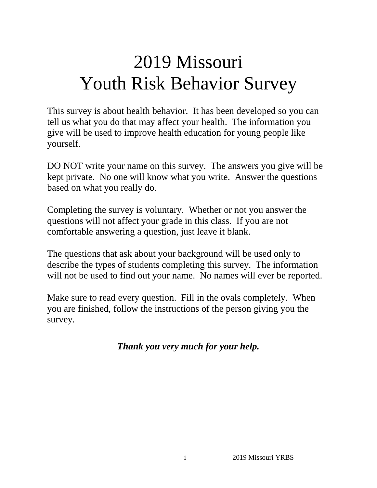# 2019 Missouri Youth Risk Behavior Survey

This survey is about health behavior. It has been developed so you can tell us what you do that may affect your health. The information you give will be used to improve health education for young people like yourself.

DO NOT write your name on this survey. The answers you give will be kept private. No one will know what you write. Answer the questions based on what you really do.

Completing the survey is voluntary. Whether or not you answer the questions will not affect your grade in this class. If you are not comfortable answering a question, just leave it blank.

The questions that ask about your background will be used only to describe the types of students completing this survey. The information will not be used to find out your name. No names will ever be reported.

Make sure to read every question. Fill in the ovals completely. When you are finished, follow the instructions of the person giving you the survey.

*Thank you very much for your help.*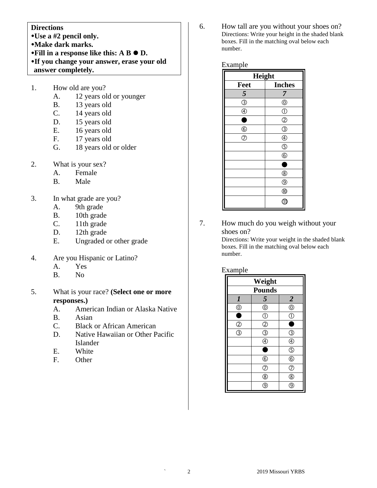#### **Directions**

- **Use a #2 pencil only.**
- **Make dark marks.**
- $\bullet$  Fill in a response like this: A B  $\bullet$  D.
- **If you change your answer, erase your old answer completely.**
- 1. How old are you?
	- A. 12 years old or younger
	- B. 13 years old
	- C. 14 years old
	- D. 15 years old
	- E. 16 years old
	- F. 17 years old
	- G. 18 years old or older
- 2. What is your sex?
	- A. Female
	- B. Male
- 3. In what grade are you?
	- A. 9th grade
	- B. 10th grade
	- C. 11th grade
	- D. 12th grade
	- E. Ungraded or other grade
- 4. Are you Hispanic or Latino?
	- A. Yes
	- B. No
- 5. What is your race? **(Select one or more responses.)**
	- A. American Indian or Alaska Native
	- B. Asian
	- C. Black or African American
	- D. Native Hawaiian or Other Pacific Islander
	- E. White
	- F. Other

6. How tall are you without your shoes on? Directions: Write your height in the shaded blank boxes. Fill in the matching oval below each number.

Example

| Height         |                                  |  |
|----------------|----------------------------------|--|
| Feet           | <b>Inches</b>                    |  |
| 5              | 7                                |  |
| $\circledS$    | $^{\circledR}$                   |  |
| $\circledA$    | $\circled{0}$                    |  |
| $\bullet$      | $^{\circledR}$                   |  |
| $\circledS$    | $\circledS$                      |  |
| $\circledcirc$ | $\circledA$                      |  |
|                | $\overline{\textcircled{\circ}}$ |  |
|                | $\circledS$                      |  |
|                | 0                                |  |
|                | $^{\circledR}$                   |  |
|                | $^{\circledR}$                   |  |
|                | $^{\circledR}$                   |  |
|                | $\hat{\mathbb{U}}$               |  |

7. How much do you weigh without your shoes on? Directions: Write your weight in the shaded blank boxes. Fill in the matching oval below each number.

#### Example

| Weight                         |                                           |                                                         |
|--------------------------------|-------------------------------------------|---------------------------------------------------------|
| <b>Pounds</b>                  |                                           |                                                         |
| $\boldsymbol{l}$               | 5                                         |                                                         |
| $\frac{\circledcirc}{\bullet}$ | $^{\circledR}$                            | $\frac{2}{0}$                                           |
|                                | $\overline{\mathbb{O}}$                   |                                                         |
| $\frac{2}{3}$                  | $\overline{2}$                            |                                                         |
|                                | $\overline{\textcircled{\scriptsize{3}}}$ | $\circledS$                                             |
|                                | $^{\circledR}$                            | $\circledcirc$                                          |
|                                | ۸                                         |                                                         |
|                                | $\circled6$                               | $\frac{\textcircled{\tiny{R}}}{\textcircled{\tiny{R}}}$ |
|                                | $\overline{C}$                            | $\overline{\textcircled{c}}$                            |
|                                | $\overline{\circ}$                        | $\overline{\circledast}$                                |
|                                | g                                         |                                                         |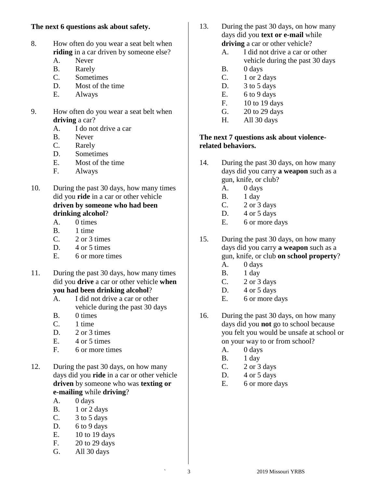## **The next 6 questions ask about safety.**

- 8. How often do you wear a seat belt when **riding** in a car driven by someone else?
	- A. Never
	- B. Rarely
	- C. Sometimes
	- D. Most of the time
	- E. Always
- 9. How often do you wear a seat belt when **driving** a car?
	- A. I do not drive a car
	- B. Never
	- C. Rarely
	- D. Sometimes
	- E. Most of the time
	- F. Always
- 10. During the past 30 days, how many times did you **ride** in a car or other vehicle **driven by someone who had been drinking alcohol**?
	- A. 0 times
	- B. 1 time
	- $C. 2$  or 3 times
	- D. 4 or 5 times
	- E. 6 or more times
- 11. During the past 30 days, how many times did you **drive** a car or other vehicle **when you had been drinking alcohol**?
	- A. I did not drive a car or other vehicle during the past 30 days
	- B. 0 times
	- C. 1 time
	- D.  $2 \text{ or } 3 \text{ times}$
	- E.  $4$  or 5 times
	- F. 6 or more times
- 12. During the past 30 days, on how many days did you **ride** in a car or other vehicle **driven** by someone who was **texting or e-mailing** while **driving**?
	- A. 0 days
	- B. 1 or 2 days
	- C.  $3 \text{ to } 5 \text{ days}$
	- D. 6 to 9 days
	- E. 10 to 19 days
	- F. 20 to 29 days
	- G. All 30 days
- 13. During the past 30 days, on how many days did you **text or e-mail** while **driving** a car or other vehicle?
	- A. I did not drive a car or other vehicle during the past 30 days
	- B. 0 days
	- C.  $1$  or  $2$  days
	- D.  $3$  to  $5$  days
	- E.  $6 to 9 days$
	- F. 10 to 19 days
	- G. 20 to 29 days
	- H. All 30 days

## **The next 7 questions ask about violencerelated behaviors.**

- 14. During the past 30 days, on how many days did you carry **a weapon** such as a gun, knife, or club?
	- A. 0 days
	- B. 1 day
	- C.  $2 \text{ or } 3 \text{ days}$
	- D. 4 or 5 days
	- E. 6 or more days
- 15. During the past 30 days, on how many days did you carry **a weapon** such as a gun, knife, or club **on school property**?
	- A. 0 days
	- B. 1 day
	- C. 2 or 3 days
	- D.  $4$  or  $5$  days
	- E. 6 or more days
- 16. During the past 30 days, on how many days did you **not** go to school because you felt you would be unsafe at school or on your way to or from school?
	- A. 0 days
	- B. 1 day
	- C. 2 or 3 days
	- D.  $4$  or  $5$  days
	- E. 6 or more days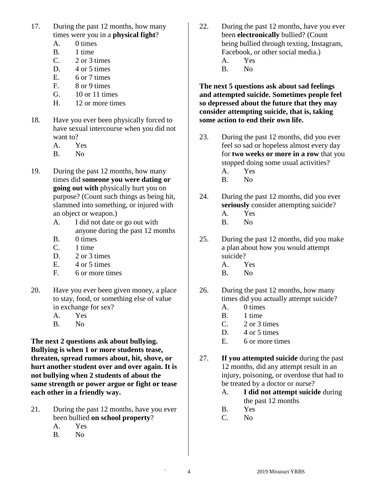- 17. During the past 12 months, how many times were you in a **physical fight**?
	- A. 0 times
	- B. 1 time
	- C. 2 or 3 times
	- D. 4 or 5 times
	- E. 6 or 7 times
	- F. 8 or 9 times
	- G. 10 or 11 times
	- H. 12 or more times
- 18. Have you ever been physically forced to have sexual intercourse when you did not want to?
	- A. Yes
	- B. No
- 19. During the past 12 months, how many times did **someone you were dating or going out with** physically hurt you on purpose? (Count such things as being hit, slammed into something, or injured with an object or weapon.)
	- A. I did not date or go out with anyone during the past 12 months
	- B. 0 times
	- C. 1 time
	- D. 2 or 3 times
	- E.  $4$  or 5 times
	- F. 6 or more times
- 20. Have you ever been given money, a place to stay, food, or something else of value in exchange for sex?
	- A. Yes
	- B. No

**The next 2 questions ask about bullying. Bullying is when 1 or more students tease, threaten, spread rumors about, hit, shove, or hurt another student over and over again. It is not bullying when 2 students of about the same strength or power argue or fight or tease each other in a friendly way.**

- 21. During the past 12 months, have you ever been bullied **on school property**?
	- A. Yes
	- B. No
- 22. During the past 12 months, have you ever been **electronically** bullied? (Count being bullied through texting, Instagram, Facebook, or other social media.)
	- A. Yes
	- B. No

**The next 5 questions ask about sad feelings and attempted suicide. Sometimes people feel so depressed about the future that they may consider attempting suicide, that is, taking some action to end their own life.**

- 23. During the past 12 months, did you ever feel so sad or hopeless almost every day for **two weeks or more in a row** that you stopped doing some usual activities?
	- A. Yes
	- B. No
- 24. During the past 12 months, did you ever **seriously** consider attempting suicide?
	- A. Yes
	- B. No
- 25. During the past 12 months, did you make a plan about how you would attempt suicide?
	- A. Yes
	- B. No
- 26. During the past 12 months, how many times did you actually attempt suicide?
	- A. 0 times
	- B. 1 time
	- C. 2 or 3 times
	- D. 4 or 5 times
	- E. 6 or more times
- 27. **If you attempted suicide** during the past 12 months, did any attempt result in an injury, poisoning, or overdose that had to be treated by a doctor or nurse?
	- A. **I did not attempt suicide** during the past 12 months
	- B. Yes
	- C. No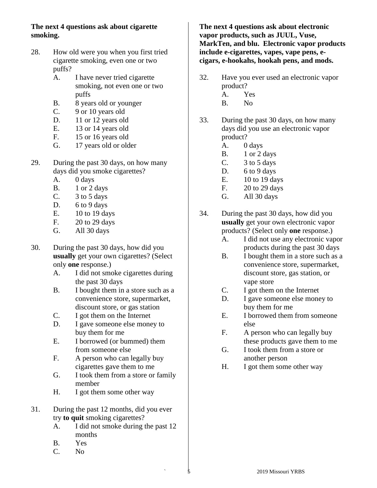## **The next 4 questions ask about cigarette smoking.**

- 28. How old were you when you first tried cigarette smoking, even one or two puffs?
	- A. I have never tried cigarette smoking, not even one or two puffs
	- B. 8 years old or younger
	- C. 9 or 10 years old
	- D. 11 or 12 years old
	- E. 13 or 14 years old
	- F. 15 or 16 years old
	- G. 17 years old or older
- 29. During the past 30 days, on how many days did you smoke cigarettes?
	- A. 0 days
	- B. 1 or 2 days
	- C. 3 to 5 days
	- D. 6 to 9 days
	- E. 10 to 19 days
	- F. 20 to 29 days
	- G. All 30 days
- 30. During the past 30 days, how did you **usually** get your own cigarettes? (Select only **one** response.)
	- A. I did not smoke cigarettes during the past 30 days
	- B. I bought them in a store such as a convenience store, supermarket, discount store, or gas station
	- C. I got them on the Internet
	- D. I gave someone else money to buy them for me
	- E. I borrowed (or bummed) them from someone else
	- F. A person who can legally buy cigarettes gave them to me
	- G. I took them from a store or family member
	- H. I got them some other way
- 31. During the past 12 months, did you ever try **to quit** smoking cigarettes?
	- A. I did not smoke during the past 12 months
	- B. Yes
	- C. No

**The next 4 questions ask about electronic vapor products, such as JUUL, Vuse, MarkTen, and blu. Electronic vapor products include e-cigarettes, vapes, vape pens, ecigars, e-hookahs, hookah pens, and mods.**

- 32. Have you ever used an electronic vapor product?
	- A. Yes
	- B. No
- 33. During the past 30 days, on how many days did you use an electronic vapor product?
	- A. 0 days
	- B. 1 or 2 days
	- C.  $3 \text{ to } 5 \text{ days}$
	- D. 6 to 9 days
	- E. 10 to 19 days
	- F. 20 to 29 days
	- G. All 30 days
- 34. During the past 30 days, how did you **usually** get your own electronic vapor products? (Select only **one** response.)
	- A. I did not use any electronic vapor products during the past 30 days
	- B. I bought them in a store such as a convenience store, supermarket, discount store, gas station, or vape store
	- C. I got them on the Internet
	- D. I gave someone else money to buy them for me
	- E. I borrowed them from someone else
	- F. A person who can legally buy these products gave them to me
	- G. I took them from a store or another person
	- H. I got them some other way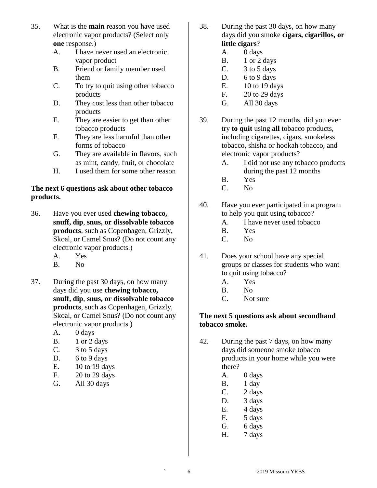- 35. What is the **main** reason you have used electronic vapor products? (Select only **one** response.)
	- A. I have never used an electronic vapor product
	- B. Friend or family member used them
	- C. To try to quit using other tobacco products
	- D. They cost less than other tobacco products
	- E. They are easier to get than other tobacco products
	- F. They are less harmful than other forms of tobacco
	- G. They are available in flavors, such as mint, candy, fruit, or chocolate
	- H. I used them for some other reason

## **The next 6 questions ask about other tobacco products.**

- 36. Have you ever used **chewing tobacco, snuff, dip**, **snus, or dissolvable tobacco products**, such as Copenhagen, Grizzly, Skoal, or Camel Snus? (Do not count any electronic vapor products.)
	- A. Yes
	- B. No
- 37. During the past 30 days, on how many days did you use **chewing tobacco, snuff, dip**, **snus, or dissolvable tobacco products**, such as Copenhagen, Grizzly, Skoal, or Camel Snus? (Do not count any electronic vapor products.)
	- A. 0 days
	- B. 1 or 2 days
	- C.  $3 \text{ to } 5 \text{ days}$
	- D. 6 to 9 days
	- E. 10 to 19 days
	- F. 20 to 29 days
	- G. All 30 days
- 38. During the past 30 days, on how many days did you smoke **cigars, cigarillos, or little cigars**?
	- A. 0 days
	- B. 1 or 2 days
	- C. 3 to 5 days
	- D.  $6$  to  $9$  days
	- E. 10 to 19 days
	- F. 20 to 29 days
	- G. All 30 days
- 39. During the past 12 months, did you ever try **to quit** using **all** tobacco products, including cigarettes, cigars, smokeless tobacco, shisha or hookah tobacco, and electronic vapor products?
	- A. I did not use any tobacco products during the past 12 months
	- B. Yes
	- C. No
- 40. Have you ever participated in a program to help you quit using tobacco?
	- A. I have never used tobacco
	- B. Yes
	- C. No
- 41. Does your school have any special groups or classes for students who want to quit using tobacco?
	- A. Yes
	- B. No
	- C. Not sure

## **The next 5 questions ask about secondhand tobacco smoke.**

- 42. During the past 7 days, on how many days did someone smoke tobacco products in your home while you were there?
	- A. 0 days
	- B. 1 day
	- C. 2 days
	- D. 3 days
	- E. 4 days
	- F. 5 days
	- G. 6 days
	- H. 7 days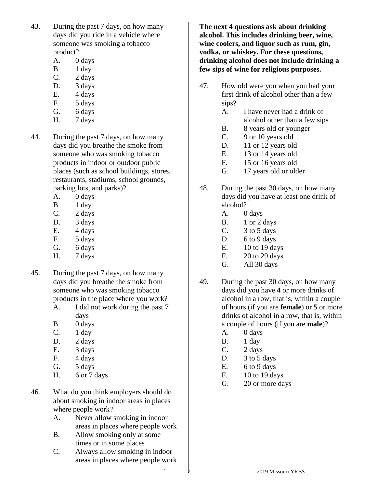- 43. During the past 7 days, on how many days did you ride in a vehicle where someone was smoking a tobacco product?
	- A. 0 days
	- B. 1 day
	- C. 2 days
	- D. 3 days
	- E. 4 days
	- F. 5 days
	- G. 6 days
	- H. 7 days
- 44. During the past 7 days, on how many days did you breathe the smoke from someone who was smoking tobacco products in indoor or outdoor public places (such as school buildings, stores, restaurants, stadiums, school grounds, parking lots, and parks)?
	- A. 0 days
	- B. 1 day
	- C. 2 days
	- D. 3 days
	- E. 4 days
	- F. 5 days
	- G. 6 days
	- H. 7 days
- 45. During the past 7 days, on how many days did you breathe the smoke from someone who was smoking tobacco products in the place where you work?
	- A. I did not work during the past 7 days
	- B. 0 days
	- $C.$  1 day
	- D. 2 days
	- E. 3 days
	- F. 4 days
	- G. 5 days
	- H. 6 or 7 days
- 46. What do you think employers should do about smoking in indoor areas in places where people work?
	- A. Never allow smoking in indoor areas in places where people work
	- B. Allow smoking only at some times or in some places
	- C. Always allow smoking in indoor areas in places where people work

**The next 4 questions ask about drinking alcohol. This includes drinking beer, wine, wine coolers, and liquor such as rum, gin, vodka, or whiskey. For these questions, drinking alcohol does not include drinking a few sips of wine for religious purposes.**

- 47. How old were you when you had your first drink of alcohol other than a few sips?
	- A. I have never had a drink of alcohol other than a few sips
	- B. 8 years old or younger
	- C. 9 or 10 years old
	- D. 11 or 12 years old
	- E. 13 or 14 years old
	- F. 15 or 16 years old
	- G. 17 years old or older
- 48. During the past 30 days, on how many days did you have at least one drink of alcohol?
	- A. 0 days
	- B. 1 or 2 days
	- C. 3 to 5 days
	- D. 6 to 9 days
	- E. 10 to 19 days
	- F. 20 to 29 days
	- G. All 30 days
- 49. During the past 30 days, on how many days did you have **4** or more drinks of alcohol in a row, that is, within a couple of hours (if you are **female**) or **5** or more drinks of alcohol in a row, that is, within a couple of hours (if you are **male**)?
	- A. 0 days
	- B. 1 day
	- C. 2 days
	- D. 3 to 5 days
	- E.  $6 to 9 days$
	- F. 10 to 19 days
	- G. 20 or more days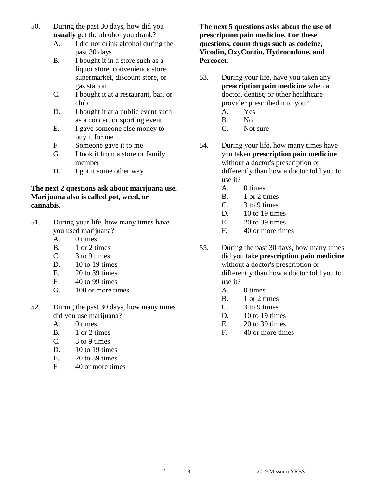- 50. During the past 30 days, how did you **usually** get the alcohol you drank?
	- A. I did not drink alcohol during the past 30 days
	- B. I bought it in a store such as a liquor store, convenience store, supermarket, discount store, or gas station
	- C. I bought it at a restaurant, bar, or club
	- D. I bought it at a public event such as a concert or sporting event
	- E. I gave someone else money to buy it for me
	- F. Someone gave it to me
	- G. I took it from a store or family member
	- H. I got it some other way

#### **The next 2 questions ask about marijuana use. Marijuana also is called pot, weed, or cannabis.**

- 51. During your life, how many times have you used marijuana?
	- A. 0 times
	- B. 1 or 2 times
	- $C.$  3 to 9 times
	- D.  $10$  to 19 times
	- E. 20 to 39 times
	- F. 40 to 99 times
	- G. 100 or more times
- 52. During the past 30 days, how many times did you use marijuana?
	- A. 0 times
	- B. 1 or 2 times
	- $C.$  3 to 9 times
	- D.  $10$  to 19 times
	- E. 20 to 39 times
	- F. 40 or more times

**The next 5 questions asks about the use of prescription pain medicine. For these questions, count drugs such as codeine, Vicodin, OxyContin, Hydrocodone, and Percocet.**

- 53. During your life, have you taken any **prescription pain medicine** when a doctor, dentist, or other healthcare provider prescribed it to you?
	- A. Yes
	- B. No
	- C. Not sure
- 54. During your life, how many times have you taken **prescription pain medicine** without a doctor's prescription or differently than how a doctor told you to use it?
	- A. 0 times
	- B. 1 or 2 times
	- C. 3 to 9 times
	- D.  $10$  to 19 times
	- E. 20 to 39 times
	- F. 40 or more times
- 55. During the past 30 days, how many times did you take **prescription pain medicine** without a doctor's prescription or differently than how a doctor told you to use it?
	- A. 0 times
	- B. 1 or 2 times
	- C. 3 to 9 times
	- D.  $10$  to 19 times
	- E. 20 to 39 times
	- F. 40 or more times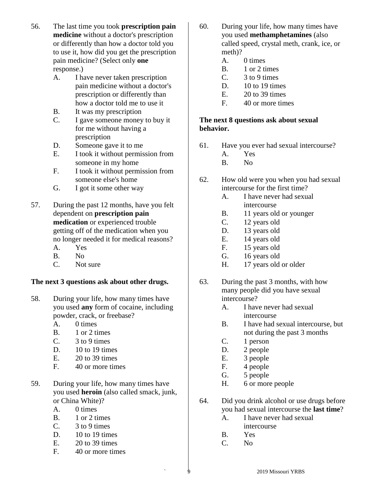- 56. The last time you took **prescription pain medicine** without a doctor's prescription or differently than how a doctor told you to use it, how did you get the prescription pain medicine? (Select only **one**  response.)
	- A. I have never taken prescription pain medicine without a doctor's prescription or differently than how a doctor told me to use it
	- B. It was my prescription
	- C. I gave someone money to buy it for me without having a prescription
	- D. Someone gave it to me
	- E. I took it without permission from someone in my home
	- F. I took it without permission from someone else's home
	- G. I got it some other way
- 57. During the past 12 months, have you felt dependent on **prescription pain medication** or experienced trouble getting off of the medication when you no longer needed it for medical reasons?
	- A. Yes
	- B. No
	- C. Not sure

## **The next 3 questions ask about other drugs.**

- 58. During your life, how many times have you used **any** form of cocaine, including powder, crack, or freebase?
	- A. 0 times
	- B. 1 or 2 times
	- $C.$  3 to 9 times
	- D. 10 to 19 times
	- $E = 20$  to 39 times
	- F. 40 or more times
- 59. During your life, how many times have you used **heroin** (also called smack, junk, or China White)?
	- A. 0 times
	- B. 1 or 2 times
	- C. 3 to 9 times
	- D. 10 to 19 times
	- E. 20 to 39 times
	- F. 40 or more times
- 60. During your life, how many times have you used **methamphetamines** (also called speed, crystal meth, crank, ice, or meth)?
	- A. 0 times
	- B. 1 or 2 times
	- C. 3 to 9 times
	- D.  $10$  to 19 times
	- $E.$  20 to 39 times
	- F. 40 or more times

## **The next 8 questions ask about sexual behavior.**

- 61. Have you ever had sexual intercourse?
	- A. Yes
	- B. No
- 62. How old were you when you had sexual intercourse for the first time?
	- A. I have never had sexual intercourse
	- B. 11 years old or younger
	- C. 12 years old
	- D. 13 years old
	- E. 14 years old
	- F. 15 years old
	- G. 16 years old
	- H. 17 years old or older
- 63. During the past 3 months, with how many people did you have sexual intercourse?
	- A. I have never had sexual intercourse
	- B. I have had sexual intercourse, but not during the past 3 months
	- C. 1 person
	- D. 2 people
	- E. 3 people
	- F. 4 people
	- G. 5 people
	- H. 6 or more people
- 64. Did you drink alcohol or use drugs before you had sexual intercourse the **last time**?
	- A. I have never had sexual intercourse
	- B. Yes
	-
	- C. No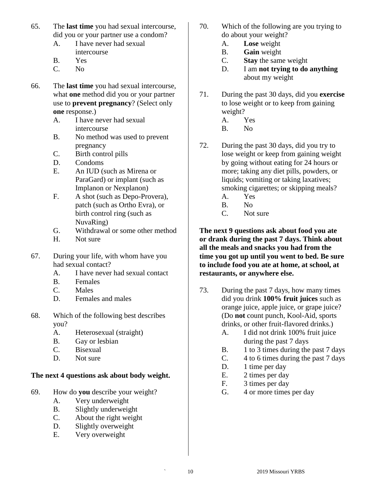- 65. The **last time** you had sexual intercourse, did you or your partner use a condom?
	- A. I have never had sexual intercourse
	- B. Yes
	- C. No
- 66. The **last time** you had sexual intercourse, what **one** method did you or your partner use to **prevent pregnancy**? (Select only **one** response.)
	- A. I have never had sexual intercourse
	- B. No method was used to prevent pregnancy
	- C. Birth control pills
	- D. Condoms
	- E. An IUD (such as Mirena or ParaGard) or implant (such as Implanon or Nexplanon)
	- F. A shot (such as Depo-Provera), patch (such as Ortho Evra), or birth control ring (such as NuvaRing)
	- G. Withdrawal or some other method
	- H. Not sure
- 67. During your life, with whom have you had sexual contact?
	- A. I have never had sexual contact
	- B. Females
	- C. Males
	- D. Females and males
- 68. Which of the following best describes you?
	- A. Heterosexual (straight)
	- B. Gay or lesbian
	- C. Bisexual
	- D. Not sure

## **The next 4 questions ask about body weight.**

- 69. How do **you** describe your weight?
	- A. Very underweight
	- B. Slightly underweight
	- C. About the right weight
	- D. Slightly overweight
	- E. Very overweight
- 70. Which of the following are you trying to do about your weight?
	- A. **Lose** weight
	- B. **Gain** weight
	- C. **Stay** the same weight
	- D. I am **not trying to do anything** about my weight
- 71. During the past 30 days, did you **exercise** to lose weight or to keep from gaining weight?
	- A. Yes
	- B. No
- 72. During the past 30 days, did you try to lose weight or keep from gaining weight by going without eating for 24 hours or more; taking any diet pills, powders, or liquids; vomiting or taking laxatives; smoking cigarettes; or skipping meals?
	- A. Yes
	- B. No
	- C. Not sure

**The next 9 questions ask about food you ate or drank during the past 7 days. Think about all the meals and snacks you had from the time you got up until you went to bed. Be sure to include food you ate at home, at school, at restaurants, or anywhere else.**

- 73. During the past 7 days, how many times did you drink **100% fruit juices** such as orange juice, apple juice, or grape juice? (Do **not** count punch, Kool-Aid, sports drinks, or other fruit-flavored drinks.)
	- A. I did not drink 100% fruit juice during the past 7 days
	- B. 1 to 3 times during the past 7 days
	- C. 4 to 6 times during the past 7 days
	- D. 1 time per day
	- E. 2 times per day
	- F. 3 times per day
	- G. 4 or more times per day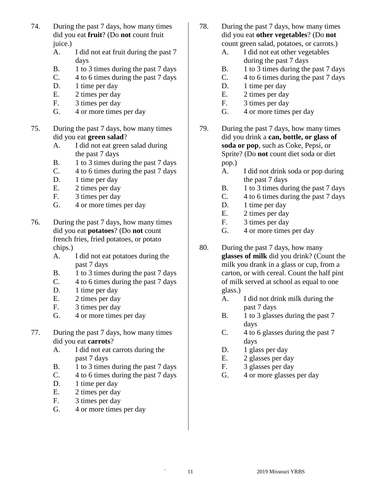- 74. During the past 7 days, how many times did you eat **fruit**? (Do **not** count fruit juice.)
	- A. I did not eat fruit during the past 7 days
	- B. 1 to 3 times during the past 7 days
	- C. 4 to 6 times during the past 7 days
	- D. 1 time per day
	- E. 2 times per day
	- F. 3 times per day
	- G. 4 or more times per day
- 75. During the past 7 days, how many times did you eat **green salad**?
	- A. I did not eat green salad during the past 7 days
	- B. 1 to 3 times during the past 7 days
	- C. 4 to 6 times during the past 7 days
	- D. 1 time per day
	- E. 2 times per day
	- F. 3 times per day
	- G. 4 or more times per day
- 76. During the past 7 days, how many times did you eat **potatoes**? (Do **not** count french fries, fried potatoes, or potato chips.)
	- A. I did not eat potatoes during the past 7 days
	- B. 1 to 3 times during the past 7 days
	- C. 4 to 6 times during the past 7 days
	- D. 1 time per day
	- E. 2 times per day
	- F. 3 times per day
	- G. 4 or more times per day
- 77. During the past 7 days, how many times did you eat **carrots**?
	- A. I did not eat carrots during the past 7 days
	- B. 1 to 3 times during the past 7 days
	- C. 4 to 6 times during the past 7 days
	- D. 1 time per day
	- E. 2 times per day
	- F. 3 times per day
	- G. 4 or more times per day
- 78. During the past 7 days, how many times did you eat **other vegetables**? (Do **not** count green salad, potatoes, or carrots.)
	- A. I did not eat other vegetables during the past 7 days
	- B. 1 to 3 times during the past 7 days
	- C. 4 to 6 times during the past 7 days
	- D. 1 time per day
	- E. 2 times per day
	- F. 3 times per day
	- G. 4 or more times per day
- 79. During the past 7 days, how many times did you drink a **can, bottle, or glass of soda or pop**, such as Coke, Pepsi, or Sprite? (Do **not** count diet soda or diet pop.)
	- A. I did not drink soda or pop during the past 7 days
	- B. 1 to 3 times during the past 7 days
	- C. 4 to 6 times during the past 7 days
	- D. 1 time per day
	- E. 2 times per day
	- F. 3 times per day
	- G. 4 or more times per day
- 80. During the past 7 days, how many **glasses of milk** did you drink? (Count the milk you drank in a glass or cup, from a carton, or with cereal. Count the half pint of milk served at school as equal to one glass.)
	- A. I did not drink milk during the past 7 days
	- B. 1 to 3 glasses during the past 7 days
	- C. 4 to 6 glasses during the past 7 days
	- D. 1 glass per day
	- E. 2 glasses per day
	- F. 3 glasses per day
	- G. 4 or more glasses per day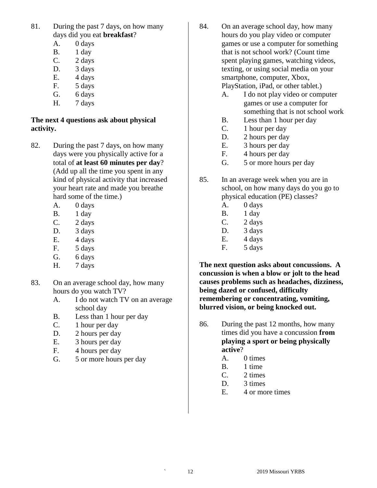- 81. During the past 7 days, on how many days did you eat **breakfast**?
	- A. 0 days
	- B. 1 day
	- C. 2 days
	- D. 3 days E. 4 days
	- F. 5 days
	- G. 6 days
	- H. 7 days

# **The next 4 questions ask about physical activity.**

- 82. During the past 7 days, on how many days were you physically active for a total of **at least 60 minutes per day**? (Add up all the time you spent in any kind of physical activity that increased your heart rate and made you breathe hard some of the time.)
	- A. 0 days
	- B. 1 day
	- C. 2 days
	- D. 3 days
	- E. 4 days
	- F. 5 days
	- G. 6 days
	- H. 7 days
- 83. On an average school day, how many hours do you watch TV?
	- A. I do not watch TV on an average school day
	- B. Less than 1 hour per day
	- C. 1 hour per day
	- D. 2 hours per day
	- E. 3 hours per day
	- F. 4 hours per day
	- G. 5 or more hours per day
- 84. On an average school day, how many hours do you play video or computer games or use a computer for something that is not school work? (Count time spent playing games, watching videos, texting, or using social media on your smartphone, computer, Xbox, PlayStation, iPad, or other tablet.)
	- A. I do not play video or computer games or use a computer for something that is not school work
	- B. Less than 1 hour per day
	- C. 1 hour per day
	- D. 2 hours per day
	- E. 3 hours per day
	- F. 4 hours per day
	- G. 5 or more hours per day
- 85. In an average week when you are in school, on how many days do you go to physical education (PE) classes?
	- A. 0 days
	- B. 1 day
	- C. 2 days
	- D. 3 days
	- E. 4 days
	- F. 5 days

**The next question asks about concussions. A concussion is when a blow or jolt to the head causes problems such as headaches, dizziness, being dazed or confused, difficulty remembering or concentrating, vomiting, blurred vision, or being knocked out.**

- 86. During the past 12 months, how many times did you have a concussion **from playing a sport or being physically active**?
	- A. 0 times
	- B. 1 time
	- C. 2 times
	- D. 3 times
	- E. 4 or more times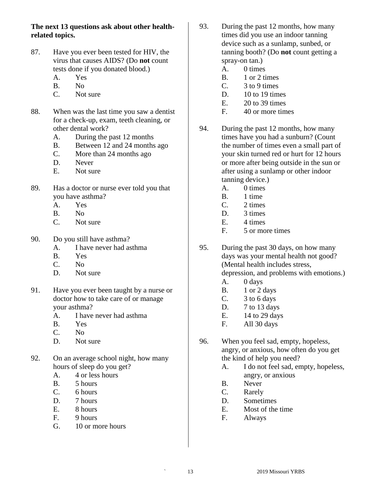**The next 13 questions ask about other healthrelated topics.**

- 87. Have you ever been tested for HIV, the virus that causes AIDS? (Do **not** count tests done if you donated blood.)
	- A. Yes
	- B. No
	- C. Not sure
- 88. When was the last time you saw a dentist for a check-up, exam, teeth cleaning, or other dental work?
	- A. During the past 12 months
	- B. Between 12 and 24 months ago
	- C. More than 24 months ago
	- D. Never
	- E. Not sure
- 89. Has a doctor or nurse ever told you that you have asthma?
	- A. Yes
	- B. No
	- C. Not sure
- 90. Do you still have asthma?
	- A. I have never had asthma
	- B. Yes
	- C. No
	- D. Not sure
- 91. Have you ever been taught by a nurse or doctor how to take care of or manage your asthma?
	- A. I have never had asthma
	- B. Yes
	- C. No
	- D. Not sure
- 92. On an average school night, how many hours of sleep do you get?
	- A. 4 or less hours
	- B. 5 hours
	- C. 6 hours
	- D. 7 hours
	- E. 8 hours
	- F. 9 hours
	- G. 10 or more hours
- 93. During the past 12 months, how many times did you use an indoor tanning device such as a sunlamp, sunbed, or tanning booth? (Do **not** count getting a spray-on tan.)
	- A. 0 times
	- B. 1 or 2 times
	- C. 3 to 9 times
	- D. 10 to 19 times
	- $E.$  20 to 39 times
	- F. 40 or more times
- 94. During the past 12 months, how many times have you had a sunburn? (Count the number of times even a small part of your skin turned red or hurt for 12 hours or more after being outside in the sun or after using a sunlamp or other indoor tanning device.)
	- A. 0 times
	- B. 1 time
	- $C. 2 \text{ times}$
	- D. 3 times
	- E. 4 times
	- F. 5 or more times
- 95. During the past 30 days, on how many days was your mental health not good? (Mental health includes stress, depression, and problems with emotions.)
	- A. 0 days
	- B. 1 or 2 days
	- C. 3 to 6 days
	- D. 7 to 13 days
	- E.  $14$  to 29 days
	- F. All 30 days
- 96. When you feel sad, empty, hopeless, angry, or anxious, how often do you get the kind of help you need?
	- A. I do not feel sad, empty, hopeless, angry, or anxious
	- B. Never
	- C. Rarely
	- D. Sometimes
	- E. Most of the time
	- F. Always